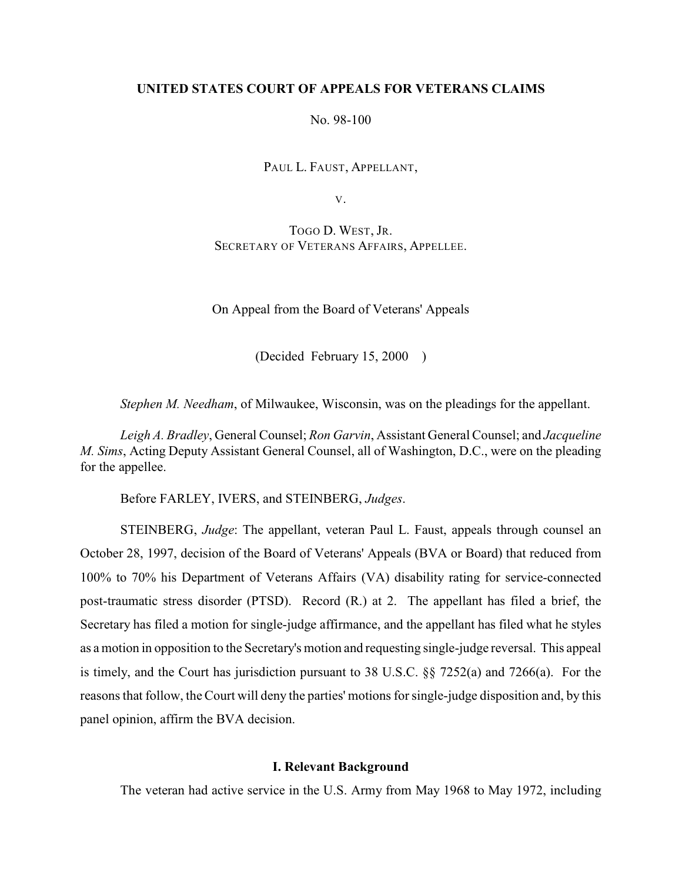## **UNITED STATES COURT OF APPEALS FOR VETERANS CLAIMS**

No. 98-100

PAUL L. FAUST, APPELLANT,

V.

TOGO D. WEST, JR. SECRETARY OF VETERANS AFFAIRS, APPELLEE.

On Appeal from the Board of Veterans' Appeals

(Decided February 15, 2000 )

*Stephen M. Needham*, of Milwaukee, Wisconsin, was on the pleadings for the appellant.

*Leigh A. Bradley*, General Counsel; *Ron Garvin*, Assistant General Counsel; and *Jacqueline M. Sims*, Acting Deputy Assistant General Counsel, all of Washington, D.C., were on the pleading for the appellee.

Before FARLEY, IVERS, and STEINBERG, *Judges*.

STEINBERG, *Judge*: The appellant, veteran Paul L. Faust, appeals through counsel an October 28, 1997, decision of the Board of Veterans' Appeals (BVA or Board) that reduced from 100% to 70% his Department of Veterans Affairs (VA) disability rating for service-connected post-traumatic stress disorder (PTSD). Record (R.) at 2. The appellant has filed a brief, the Secretary has filed a motion for single-judge affirmance, and the appellant has filed what he styles as a motion in opposition to the Secretary's motion and requesting single-judge reversal. This appeal is timely, and the Court has jurisdiction pursuant to 38 U.S.C. §§ 7252(a) and 7266(a). For the reasons that follow, the Court will deny the parties' motions for single-judge disposition and, by this panel opinion, affirm the BVA decision.

### **I. Relevant Background**

The veteran had active service in the U.S. Army from May 1968 to May 1972, including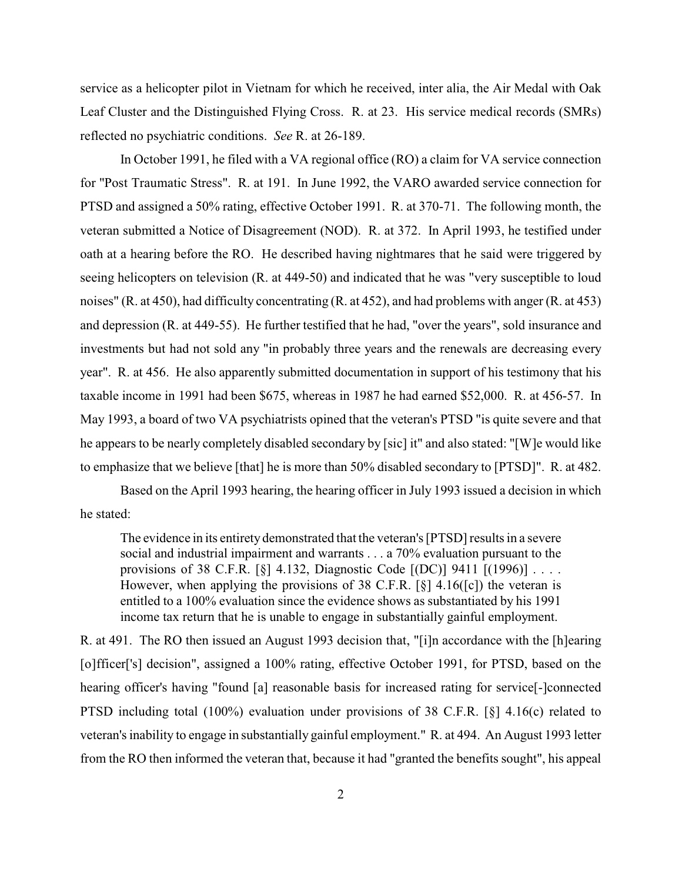service as a helicopter pilot in Vietnam for which he received, inter alia, the Air Medal with Oak Leaf Cluster and the Distinguished Flying Cross. R. at 23. His service medical records (SMRs) reflected no psychiatric conditions. *See* R. at 26-189.

In October 1991, he filed with a VA regional office (RO) a claim for VA service connection for "Post Traumatic Stress". R. at 191. In June 1992, the VARO awarded service connection for PTSD and assigned a 50% rating, effective October 1991. R. at 370-71. The following month, the veteran submitted a Notice of Disagreement (NOD). R. at 372. In April 1993, he testified under oath at a hearing before the RO. He described having nightmares that he said were triggered by seeing helicopters on television (R. at 449-50) and indicated that he was "very susceptible to loud noises" (R. at 450), had difficulty concentrating (R. at 452), and had problems with anger (R. at 453) and depression (R. at 449-55). He further testified that he had, "over the years", sold insurance and investments but had not sold any "in probably three years and the renewals are decreasing every year". R. at 456. He also apparently submitted documentation in support of his testimony that his taxable income in 1991 had been \$675, whereas in 1987 he had earned \$52,000. R. at 456-57. In May 1993, a board of two VA psychiatrists opined that the veteran's PTSD "is quite severe and that he appears to be nearly completely disabled secondary by [sic] it" and also stated: "[W]e would like to emphasize that we believe [that] he is more than 50% disabled secondary to [PTSD]". R. at 482.

Based on the April 1993 hearing, the hearing officer in July 1993 issued a decision in which he stated:

The evidence in its entirety demonstrated that the veteran's [PTSD] results in a severe social and industrial impairment and warrants . . . a 70% evaluation pursuant to the provisions of 38 C.F.R.  $[\S]$  4.132, Diagnostic Code  $[ (DC) ]$  9411  $[ (1996) ] \ldots$ . However, when applying the provisions of 38 C.F.R.  $[\S]$  4.16( $[c]$ ) the veteran is entitled to a 100% evaluation since the evidence shows as substantiated by his 1991 income tax return that he is unable to engage in substantially gainful employment.

R. at 491. The RO then issued an August 1993 decision that, "[i]n accordance with the [h]earing [o]fficer['s] decision", assigned a 100% rating, effective October 1991, for PTSD, based on the hearing officer's having "found [a] reasonable basis for increased rating for service[-]connected PTSD including total (100%) evaluation under provisions of 38 C.F.R. [§] 4.16(c) related to veteran's inability to engage in substantially gainful employment." R. at 494. An August 1993 letter from the RO then informed the veteran that, because it had "granted the benefits sought", his appeal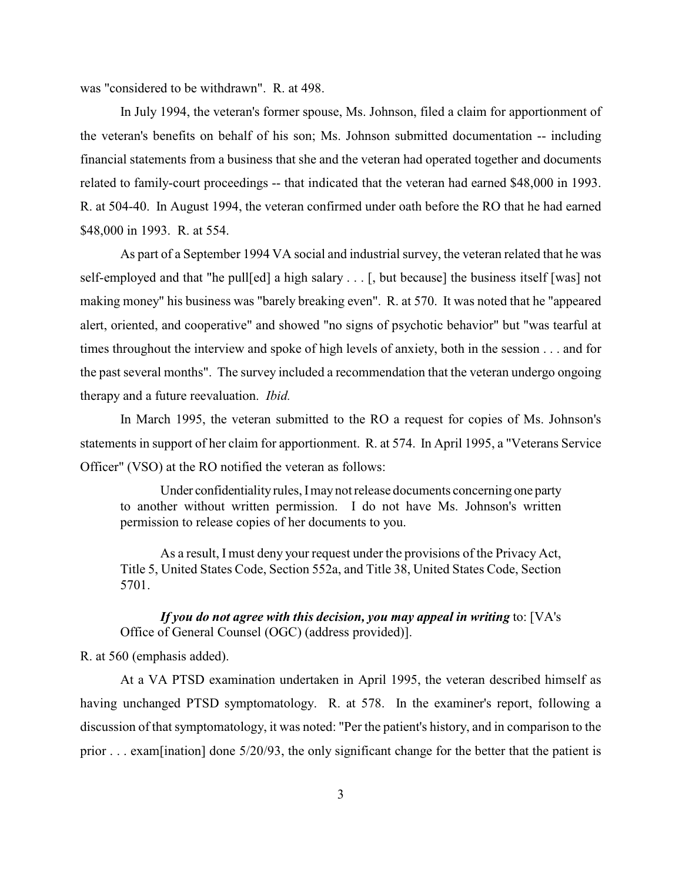was "considered to be withdrawn". R. at 498.

In July 1994, the veteran's former spouse, Ms. Johnson, filed a claim for apportionment of the veteran's benefits on behalf of his son; Ms. Johnson submitted documentation -- including financial statements from a business that she and the veteran had operated together and documents related to family-court proceedings -- that indicated that the veteran had earned \$48,000 in 1993. R. at 504-40. In August 1994, the veteran confirmed under oath before the RO that he had earned \$48,000 in 1993. R. at 554.

As part of a September 1994 VA social and industrial survey, the veteran related that he was self-employed and that "he pull[ed] a high salary . . . [, but because] the business itself [was] not making money" his business was "barely breaking even". R. at 570. It was noted that he "appeared alert, oriented, and cooperative" and showed "no signs of psychotic behavior" but "was tearful at times throughout the interview and spoke of high levels of anxiety, both in the session . . . and for the past several months". The survey included a recommendation that the veteran undergo ongoing therapy and a future reevaluation. *Ibid.*

In March 1995, the veteran submitted to the RO a request for copies of Ms. Johnson's statements in support of her claim for apportionment. R. at 574. In April 1995, a "Veterans Service Officer" (VSO) at the RO notified the veteran as follows:

Under confidentiality rules, I may not release documents concerning one party to another without written permission. I do not have Ms. Johnson's written permission to release copies of her documents to you.

As a result, I must deny your request under the provisions of the Privacy Act, Title 5, United States Code, Section 552a, and Title 38, United States Code, Section 5701.

*If you do not agree with this decision, you may appeal in writing* to: [VA's Office of General Counsel (OGC) (address provided)].

R. at 560 (emphasis added).

At a VA PTSD examination undertaken in April 1995, the veteran described himself as having unchanged PTSD symptomatology. R. at 578. In the examiner's report, following a discussion of that symptomatology, it was noted: "Per the patient's history, and in comparison to the prior . . . exam[ination] done 5/20/93, the only significant change for the better that the patient is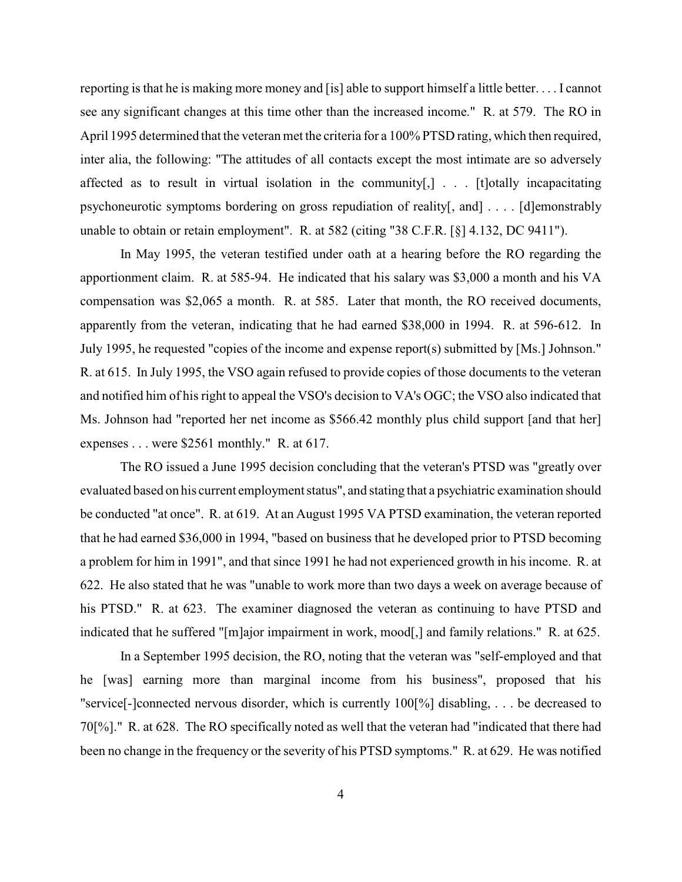reporting is that he is making more money and [is] able to support himself a little better. . . . I cannot see any significant changes at this time other than the increased income." R. at 579. The RO in April 1995 determined that the veteran met the criteria for a 100% PTSD rating, which then required, inter alia, the following: "The attitudes of all contacts except the most intimate are so adversely affected as to result in virtual isolation in the community[,] . . . [t]otally incapacitating psychoneurotic symptoms bordering on gross repudiation of reality[, and] . . . . [d]emonstrably unable to obtain or retain employment". R. at 582 (citing "38 C.F.R. [§] 4.132, DC 9411").

In May 1995, the veteran testified under oath at a hearing before the RO regarding the apportionment claim. R. at 585-94. He indicated that his salary was \$3,000 a month and his VA compensation was \$2,065 a month. R. at 585. Later that month, the RO received documents, apparently from the veteran, indicating that he had earned \$38,000 in 1994. R. at 596-612. In July 1995, he requested "copies of the income and expense report(s) submitted by [Ms.] Johnson." R. at 615. In July 1995, the VSO again refused to provide copies of those documents to the veteran and notified him of his right to appeal the VSO's decision to VA's OGC; the VSO also indicated that Ms. Johnson had "reported her net income as \$566.42 monthly plus child support [and that her] expenses . . . were \$2561 monthly." R. at 617.

The RO issued a June 1995 decision concluding that the veteran's PTSD was "greatly over evaluated based on his current employment status", and stating that a psychiatric examination should be conducted "at once". R. at 619. At an August 1995 VA PTSD examination, the veteran reported that he had earned \$36,000 in 1994, "based on business that he developed prior to PTSD becoming a problem for him in 1991", and that since 1991 he had not experienced growth in his income. R. at 622. He also stated that he was "unable to work more than two days a week on average because of his PTSD." R. at 623. The examiner diagnosed the veteran as continuing to have PTSD and indicated that he suffered "[m]ajor impairment in work, mood[,] and family relations." R. at 625.

 In a September 1995 decision, the RO, noting that the veteran was "self-employed and that he [was] earning more than marginal income from his business", proposed that his "service[-]connected nervous disorder, which is currently 100[%] disabling, . . . be decreased to 70[%]." R. at 628. The RO specifically noted as well that the veteran had "indicated that there had been no change in the frequency or the severity of his PTSD symptoms." R. at 629. He was notified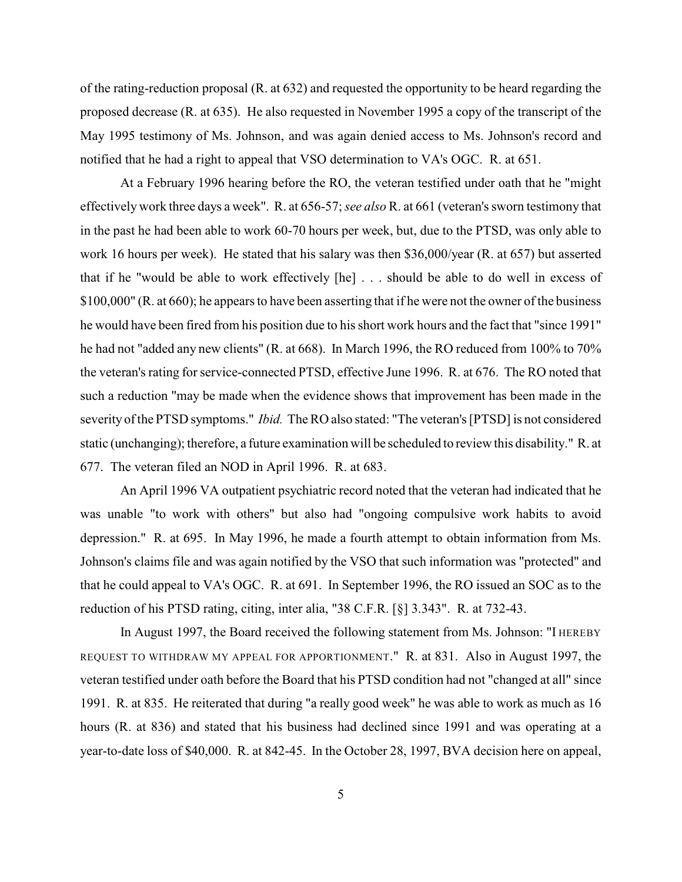of the rating-reduction proposal (R. at 632) and requested the opportunity to be heard regarding the proposed decrease (R. at 635). He also requested in November 1995 a copy of the transcript of the May 1995 testimony of Ms. Johnson, and was again denied access to Ms. Johnson's record and notified that he had a right to appeal that VSO determination to VA's OGC. R. at 651.

At a February 1996 hearing before the RO, the veteran testified under oath that he "might effectively work three days a week". R. at 656-57; *see also* R. at 661 (veteran's sworn testimony that in the past he had been able to work 60-70 hours per week, but, due to the PTSD, was only able to work 16 hours per week). He stated that his salary was then \$36,000/year (R. at 657) but asserted that if he "would be able to work effectively [he] . . . should be able to do well in excess of \$100,000" (R. at 660); he appears to have been asserting that if he were not the owner of the business he would have been fired from his position due to his short work hours and the fact that "since 1991" he had not "added any new clients" (R. at 668). In March 1996, the RO reduced from 100% to 70% the veteran's rating for service-connected PTSD, effective June 1996. R. at 676. The RO noted that such a reduction "may be made when the evidence shows that improvement has been made in the severity of the PTSD symptoms." *Ibid.* The RO also stated: "The veteran's [PTSD] is not considered static (unchanging); therefore, a future examination will be scheduled to review this disability." R. at 677. The veteran filed an NOD in April 1996. R. at 683.

An April 1996 VA outpatient psychiatric record noted that the veteran had indicated that he was unable "to work with others" but also had "ongoing compulsive work habits to avoid depression." R. at 695. In May 1996, he made a fourth attempt to obtain information from Ms. Johnson's claims file and was again notified by the VSO that such information was "protected" and that he could appeal to VA's OGC. R. at 691. In September 1996, the RO issued an SOC as to the reduction of his PTSD rating, citing, inter alia, "38 C.F.R. [§] 3.343". R. at 732-43.

In August 1997, the Board received the following statement from Ms. Johnson: "I HEREBY REQUEST TO WITHDRAW MY APPEAL FOR APPORTIONMENT." R. at 831. Also in August 1997, the veteran testified under oath before the Board that his PTSD condition had not "changed at all" since 1991. R. at 835. He reiterated that during "a really good week" he was able to work as much as 16 hours (R. at 836) and stated that his business had declined since 1991 and was operating at a year-to-date loss of \$40,000. R. at 842-45. In the October 28, 1997, BVA decision here on appeal,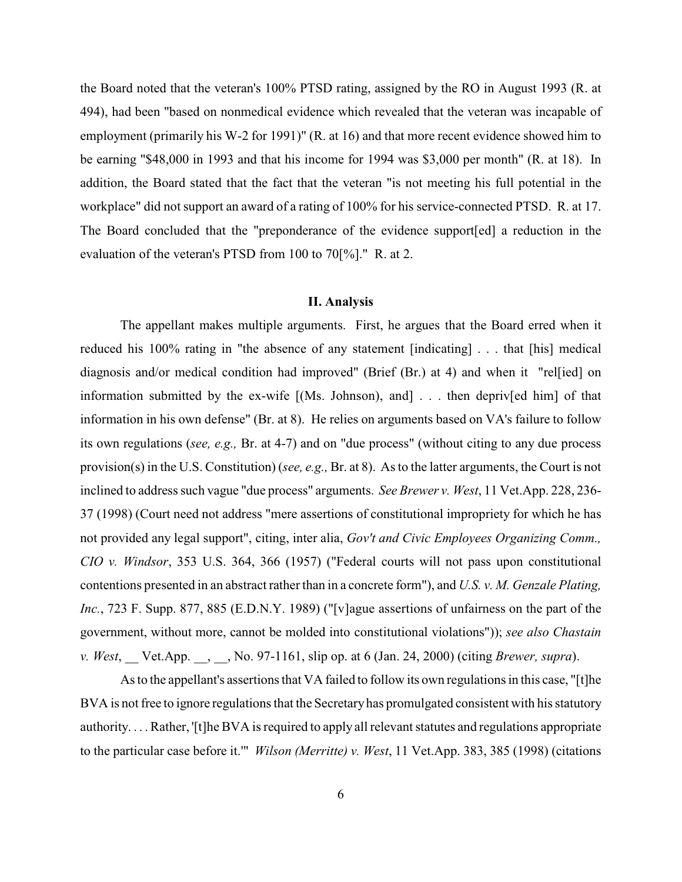the Board noted that the veteran's 100% PTSD rating, assigned by the RO in August 1993 (R. at 494), had been "based on nonmedical evidence which revealed that the veteran was incapable of employment (primarily his W-2 for 1991)" (R. at 16) and that more recent evidence showed him to be earning "\$48,000 in 1993 and that his income for 1994 was \$3,000 per month" (R. at 18). In addition, the Board stated that the fact that the veteran "is not meeting his full potential in the workplace" did not support an award of a rating of 100% for his service-connected PTSD. R. at 17. The Board concluded that the "preponderance of the evidence support[ed] a reduction in the evaluation of the veteran's PTSD from 100 to 70[%]." R. at 2.

#### **II. Analysis**

The appellant makes multiple arguments. First, he argues that the Board erred when it reduced his 100% rating in "the absence of any statement [indicating] . . . that [his] medical diagnosis and/or medical condition had improved" (Brief (Br.) at 4) and when it "rel[ied] on information submitted by the ex-wife [(Ms. Johnson), and] . . . then depriv[ed him] of that information in his own defense" (Br. at 8). He relies on arguments based on VA's failure to follow its own regulations (*see, e.g.,* Br. at 4-7) and on "due process" (without citing to any due process provision(s) in the U.S. Constitution) (*see, e.g.,* Br. at 8). As to the latter arguments, the Court is not inclined to address such vague "due process" arguments. *See Brewer v. West*, 11 Vet.App. 228, 236- 37 (1998) (Court need not address "mere assertions of constitutional impropriety for which he has not provided any legal support", citing, inter alia, *Gov't and Civic Employees Organizing Comm., CIO v. Windsor*, 353 U.S. 364, 366 (1957) ("Federal courts will not pass upon constitutional contentions presented in an abstract rather than in a concrete form"), and *U.S. v. M. Genzale Plating, Inc.*, 723 F. Supp. 877, 885 (E.D.N.Y. 1989) ("[v]ague assertions of unfairness on the part of the government, without more, cannot be molded into constitutional violations")); *see also Chastain v. West*, \_\_ Vet.App. \_\_, \_\_, No. 97-1161, slip op. at 6 (Jan. 24, 2000) (citing *Brewer, supra*).

As to the appellant's assertions that VA failed to follow its own regulations in this case, "[t]he BVA is not free to ignore regulations that the Secretary has promulgated consistent with his statutory authority. . . . Rather, '[t]he BVA is required to apply all relevant statutes and regulations appropriate to the particular case before it.'" *Wilson (Merritte) v. West*, 11 Vet.App. 383, 385 (1998) (citations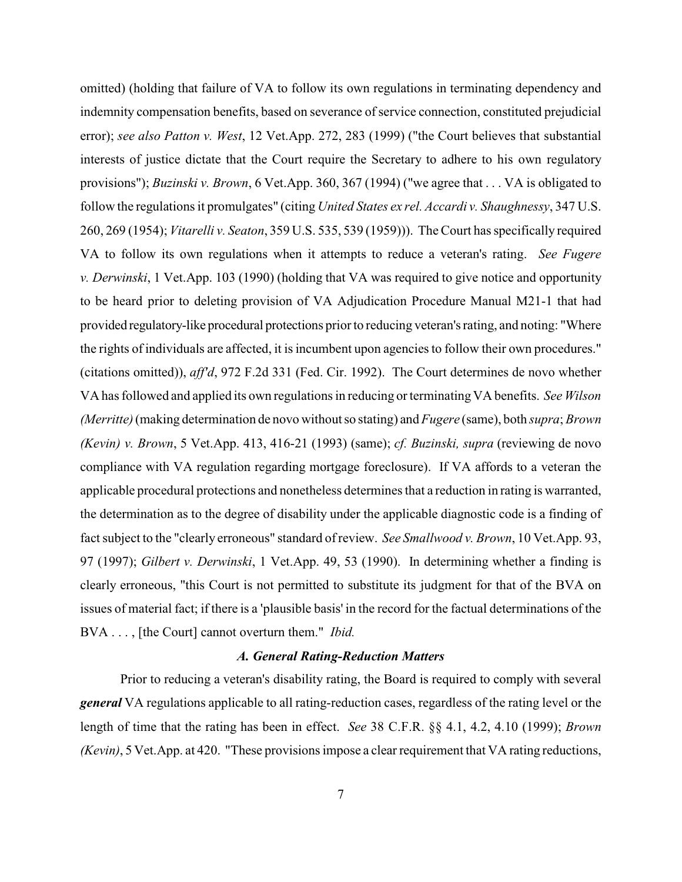omitted) (holding that failure of VA to follow its own regulations in terminating dependency and indemnity compensation benefits, based on severance of service connection, constituted prejudicial error); *see also Patton v. West*, 12 Vet.App. 272, 283 (1999) ("the Court believes that substantial interests of justice dictate that the Court require the Secretary to adhere to his own regulatory provisions"); *Buzinski v. Brown*, 6 Vet.App. 360, 367 (1994) ("we agree that . . . VA is obligated to follow the regulations it promulgates" (citing *United States ex rel. Accardi v. Shaughnessy*, 347 U.S. 260, 269 (1954); *Vitarelli v. Seaton*, 359 U.S. 535, 539 (1959))). The Court has specifically required VA to follow its own regulations when it attempts to reduce a veteran's rating. *See Fugere v. Derwinski*, 1 Vet.App. 103 (1990) (holding that VA was required to give notice and opportunity to be heard prior to deleting provision of VA Adjudication Procedure Manual M21-1 that had provided regulatory-like procedural protections prior to reducing veteran's rating, and noting: "Where the rights of individuals are affected, it is incumbent upon agencies to follow their own procedures." (citations omitted)), *aff'd*, 972 F.2d 331 (Fed. Cir. 1992). The Court determines de novo whether VA has followed and applied its own regulations in reducing or terminating VA benefits. *See Wilson (Merritte)*(making determination de novo without so stating) and *Fugere* (same), both *supra*; *Brown (Kevin) v. Brown*, 5 Vet.App. 413, 416-21 (1993) (same); *cf. Buzinski, supra* (reviewing de novo compliance with VA regulation regarding mortgage foreclosure). If VA affords to a veteran the applicable procedural protections and nonetheless determines that a reduction in rating is warranted, the determination as to the degree of disability under the applicable diagnostic code is a finding of fact subject to the "clearly erroneous" standard of review. *See Smallwood v. Brown*, 10 Vet.App. 93, 97 (1997); *Gilbert v. Derwinski*, 1 Vet.App. 49, 53 (1990). In determining whether a finding is clearly erroneous, "this Court is not permitted to substitute its judgment for that of the BVA on issues of material fact; if there is a 'plausible basis' in the record for the factual determinations of the BVA . . . , [the Court] cannot overturn them." *Ibid.*

### *A. General Rating-Reduction Matters*

Prior to reducing a veteran's disability rating, the Board is required to comply with several *general* VA regulations applicable to all rating-reduction cases, regardless of the rating level or the length of time that the rating has been in effect. *See* 38 C.F.R. §§ 4.1, 4.2, 4.10 (1999); *Brown (Kevin)*, 5 Vet.App. at 420. "These provisions impose a clear requirement that VA rating reductions,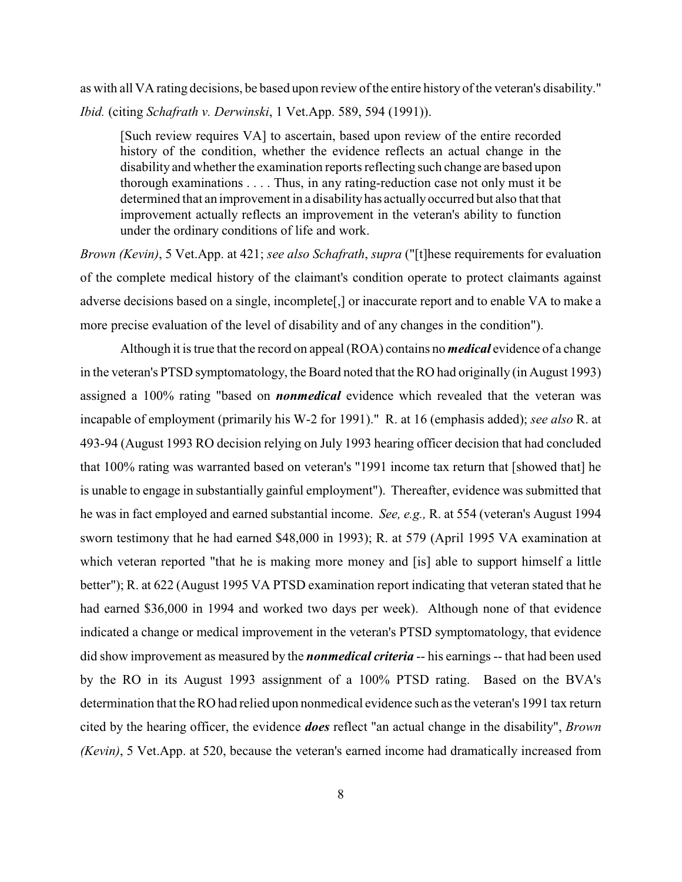as with all VA rating decisions, be based upon review of the entire history of the veteran's disability." *Ibid.* (citing *Schafrath v. Derwinski*, 1 Vet.App. 589, 594 (1991)).

[Such review requires VA] to ascertain, based upon review of the entire recorded history of the condition, whether the evidence reflects an actual change in the disability and whether the examination reports reflecting such change are based upon thorough examinations . . . . Thus, in any rating-reduction case not only must it be determined that an improvement in a disability has actuallyoccurred but also that that improvement actually reflects an improvement in the veteran's ability to function under the ordinary conditions of life and work.

*Brown (Kevin)*, 5 Vet.App. at 421; *see also Schafrath*, *supra* ("[t]hese requirements for evaluation of the complete medical history of the claimant's condition operate to protect claimants against adverse decisions based on a single, incomplete[,] or inaccurate report and to enable VA to make a more precise evaluation of the level of disability and of any changes in the condition").

Although it is true that the record on appeal (ROA) contains no *medical* evidence of a change in the veteran's PTSD symptomatology, the Board noted that the RO had originally (in August 1993) assigned a 100% rating "based on *nonmedical* evidence which revealed that the veteran was incapable of employment (primarily his W-2 for 1991)." R. at 16 (emphasis added); *see also* R. at 493-94 (August 1993 RO decision relying on July 1993 hearing officer decision that had concluded that 100% rating was warranted based on veteran's "1991 income tax return that [showed that] he is unable to engage in substantially gainful employment"). Thereafter, evidence was submitted that he was in fact employed and earned substantial income. *See, e.g.,* R. at 554 (veteran's August 1994 sworn testimony that he had earned \$48,000 in 1993); R. at 579 (April 1995 VA examination at which veteran reported "that he is making more money and [is] able to support himself a little better"); R. at 622 (August 1995 VA PTSD examination report indicating that veteran stated that he had earned \$36,000 in 1994 and worked two days per week). Although none of that evidence indicated a change or medical improvement in the veteran's PTSD symptomatology, that evidence did show improvement as measured by the *nonmedical criteria* -- his earnings -- that had been used by the RO in its August 1993 assignment of a 100% PTSD rating. Based on the BVA's determination that the RO had relied upon nonmedical evidence such as the veteran's 1991 tax return cited by the hearing officer, the evidence *does* reflect "an actual change in the disability", *Brown (Kevin)*, 5 Vet.App. at 520, because the veteran's earned income had dramatically increased from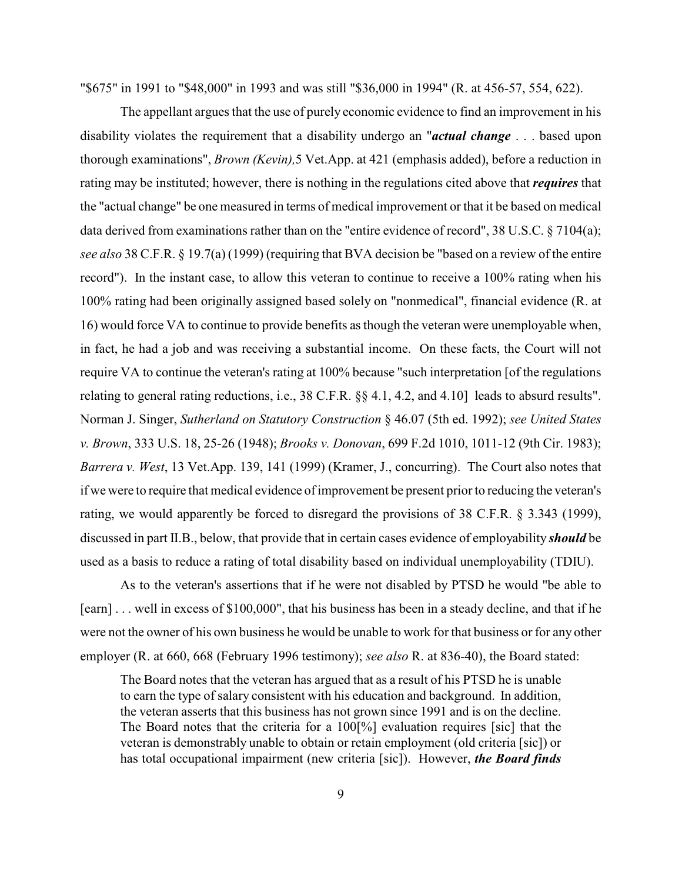"\$675" in 1991 to "\$48,000" in 1993 and was still "\$36,000 in 1994" (R. at 456-57, 554, 622).

The appellant argues that the use of purely economic evidence to find an improvement in his disability violates the requirement that a disability undergo an "*actual change* . . . based upon thorough examinations", *Brown (Kevin),*5 Vet.App. at 421 (emphasis added), before a reduction in rating may be instituted; however, there is nothing in the regulations cited above that *requires* that the "actual change" be one measured in terms of medical improvement or that it be based on medical data derived from examinations rather than on the "entire evidence of record", 38 U.S.C. § 7104(a); *see also* 38 C.F.R. § 19.7(a) (1999) (requiring that BVA decision be "based on a review of the entire record"). In the instant case, to allow this veteran to continue to receive a 100% rating when his 100% rating had been originally assigned based solely on "nonmedical", financial evidence (R. at 16) would force VA to continue to provide benefits as though the veteran were unemployable when, in fact, he had a job and was receiving a substantial income. On these facts, the Court will not require VA to continue the veteran's rating at 100% because "such interpretation [of the regulations relating to general rating reductions, i.e., 38 C.F.R. §§ 4.1, 4.2, and 4.10] leads to absurd results". Norman J. Singer, *Sutherland on Statutory Construction* § 46.07 (5th ed. 1992); *see United States v. Brown*, 333 U.S. 18, 25-26 (1948); *Brooks v. Donovan*, 699 F.2d 1010, 1011-12 (9th Cir. 1983); *Barrera v. West*, 13 Vet.App. 139, 141 (1999) (Kramer, J., concurring). The Court also notes that if we were to require that medical evidence of improvement be present prior to reducing the veteran's rating, we would apparently be forced to disregard the provisions of 38 C.F.R. § 3.343 (1999), discussed in part II.B., below, that provide that in certain cases evidence of employability *should* be used as a basis to reduce a rating of total disability based on individual unemployability (TDIU).

As to the veteran's assertions that if he were not disabled by PTSD he would "be able to [earn] . . . well in excess of \$100,000", that his business has been in a steady decline, and that if he were not the owner of his own business he would be unable to work for that business or for any other employer (R. at 660, 668 (February 1996 testimony); *see also* R. at 836-40), the Board stated:

The Board notes that the veteran has argued that as a result of his PTSD he is unable to earn the type of salary consistent with his education and background. In addition, the veteran asserts that this business has not grown since 1991 and is on the decline. The Board notes that the criteria for a 100[%] evaluation requires [sic] that the veteran is demonstrably unable to obtain or retain employment (old criteria [sic]) or has total occupational impairment (new criteria [sic]). However, *the Board finds*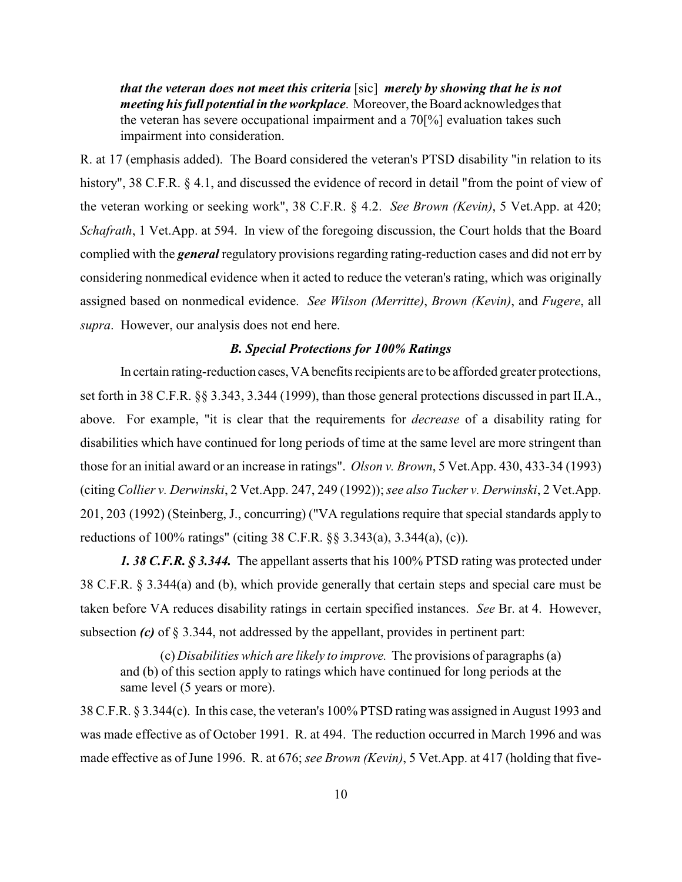*that the veteran does not meet this criteria* [sic] *merely by showing that he is not meeting his full potential in the workplace*. Moreover, the Board acknowledges that the veteran has severe occupational impairment and a 70[%] evaluation takes such impairment into consideration.

R. at 17 (emphasis added). The Board considered the veteran's PTSD disability "in relation to its history", 38 C.F.R. § 4.1, and discussed the evidence of record in detail "from the point of view of the veteran working or seeking work", 38 C.F.R. § 4.2. *See Brown (Kevin)*, 5 Vet.App. at 420; *Schafrath*, 1 Vet.App. at 594. In view of the foregoing discussion, the Court holds that the Board complied with the *general* regulatory provisions regarding rating-reduction cases and did not err by considering nonmedical evidence when it acted to reduce the veteran's rating, which was originally assigned based on nonmedical evidence. *See Wilson (Merritte)*, *Brown (Kevin)*, and *Fugere*, all *supra*. However, our analysis does not end here.

## *B. Special Protections for 100% Ratings*

In certain rating-reduction cases, VA benefits recipients are to be afforded greater protections, set forth in 38 C.F.R. §§ 3.343, 3.344 (1999), than those general protections discussed in part II.A., above. For example, "it is clear that the requirements for *decrease* of a disability rating for disabilities which have continued for long periods of time at the same level are more stringent than those for an initial award or an increase in ratings". *Olson v. Brown*, 5 Vet.App. 430, 433-34 (1993) (citing *Collier v. Derwinski*, 2 Vet.App. 247, 249 (1992));*see also Tucker v. Derwinski*, 2 Vet.App. 201, 203 (1992) (Steinberg, J., concurring) ("VA regulations require that special standards apply to reductions of 100% ratings" (citing 38 C.F.R. §§ 3.343(a), 3.344(a), (c)).

*1. 38 C.F.R. § 3.344.* The appellant asserts that his 100% PTSD rating was protected under 38 C.F.R. § 3.344(a) and (b), which provide generally that certain steps and special care must be taken before VA reduces disability ratings in certain specified instances. *See* Br. at 4. However, subsection *(c)* of § 3.344, not addressed by the appellant, provides in pertinent part:

(c) *Disabilities which are likely to improve.* The provisions of paragraphs (a) and (b) of this section apply to ratings which have continued for long periods at the same level (5 years or more).

38 C.F.R. § 3.344(c). In this case, the veteran's 100% PTSD rating was assigned in August 1993 and was made effective as of October 1991. R. at 494. The reduction occurred in March 1996 and was made effective as of June 1996. R. at 676; *see Brown (Kevin)*, 5 Vet.App. at 417 (holding that five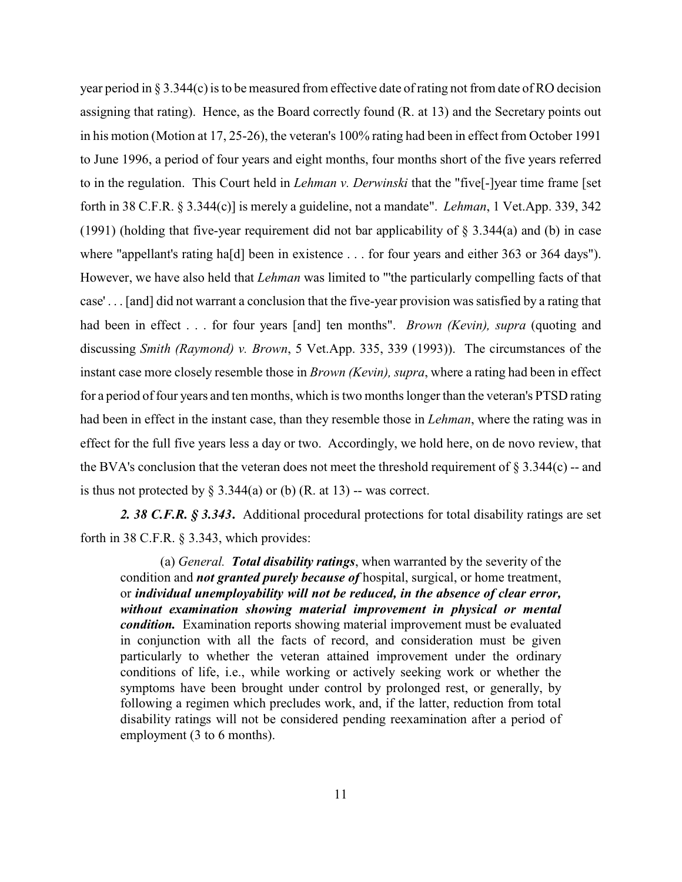year period in  $\S 3.344(c)$  is to be measured from effective date of rating not from date of RO decision assigning that rating). Hence, as the Board correctly found (R. at 13) and the Secretary points out in his motion (Motion at 17, 25-26), the veteran's 100% rating had been in effect from October 1991 to June 1996, a period of four years and eight months, four months short of the five years referred to in the regulation. This Court held in *Lehman v. Derwinski* that the "five[-]year time frame [set forth in 38 C.F.R. § 3.344(c)] is merely a guideline, not a mandate". *Lehman*, 1 Vet.App. 339, 342 (1991) (holding that five-year requirement did not bar applicability of § 3.344(a) and (b) in case where "appellant's rating ha<sup>[d]</sup> been in existence . . . for four years and either 363 or 364 days"). However, we have also held that *Lehman* was limited to "'the particularly compelling facts of that case' . . . [and] did not warrant a conclusion that the five-year provision was satisfied by a rating that had been in effect . . . for four years [and] ten months". *Brown (Kevin), supra* (quoting and discussing *Smith (Raymond) v. Brown*, 5 Vet.App. 335, 339 (1993)). The circumstances of the instant case more closely resemble those in *Brown (Kevin), supra*, where a rating had been in effect for a period of four years and ten months, which is two months longer than the veteran's PTSD rating had been in effect in the instant case, than they resemble those in *Lehman*, where the rating was in effect for the full five years less a day or two. Accordingly, we hold here, on de novo review, that the BVA's conclusion that the veteran does not meet the threshold requirement of  $\S 3.344(c)$  -- and is thus not protected by  $\S$  3.344(a) or (b) (R. at 13) -- was correct.

*2. 38 C.F.R. § 3.343***.** Additional procedural protections for total disability ratings are set forth in 38 C.F.R. § 3.343, which provides:

(a) *General. Total disability ratings*, when warranted by the severity of the condition and *not granted purely because of* hospital, surgical, or home treatment, or *individual unemployability will not be reduced, in the absence of clear error, without examination showing material improvement in physical or mental condition.* Examination reports showing material improvement must be evaluated in conjunction with all the facts of record, and consideration must be given particularly to whether the veteran attained improvement under the ordinary conditions of life, i.e., while working or actively seeking work or whether the symptoms have been brought under control by prolonged rest, or generally, by following a regimen which precludes work, and, if the latter, reduction from total disability ratings will not be considered pending reexamination after a period of employment (3 to 6 months).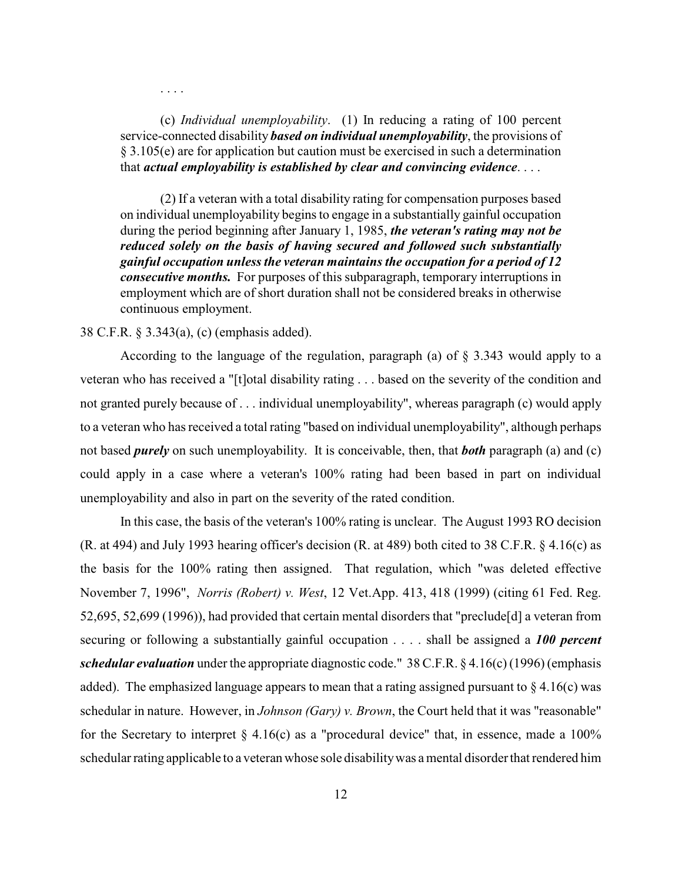. . . .

(c) *Individual unemployability*. (1) In reducing a rating of 100 percent service-connected disability *based on individual unemployability*, the provisions of § 3.105(e) are for application but caution must be exercised in such a determination that *actual employability is established by clear and convincing evidence*. . . .

(2) If a veteran with a total disability rating for compensation purposes based on individual unemployability begins to engage in a substantially gainful occupation during the period beginning after January 1, 1985, *the veteran's rating may not be reduced solely on the basis of having secured and followed such substantially gainful occupation unless the veteran maintains the occupation for a period of 12 consecutive months.* For purposes of this subparagraph, temporary interruptions in employment which are of short duration shall not be considered breaks in otherwise continuous employment.

### 38 C.F.R. § 3.343(a), (c) (emphasis added).

According to the language of the regulation, paragraph (a) of § 3.343 would apply to a veteran who has received a "[t]otal disability rating . . . based on the severity of the condition and not granted purely because of . . . individual unemployability", whereas paragraph (c) would apply to a veteran who has received a total rating "based on individual unemployability", although perhaps not based *purely* on such unemployability. It is conceivable, then, that *both* paragraph (a) and (c) could apply in a case where a veteran's 100% rating had been based in part on individual unemployability and also in part on the severity of the rated condition.

In this case, the basis of the veteran's 100% rating is unclear. The August 1993 RO decision (R. at 494) and July 1993 hearing officer's decision (R. at 489) both cited to 38 C.F.R. § 4.16(c) as the basis for the 100% rating then assigned. That regulation, which "was deleted effective November 7, 1996", *Norris (Robert) v. West*, 12 Vet.App. 413, 418 (1999) (citing 61 Fed. Reg. 52,695, 52,699 (1996)), had provided that certain mental disorders that "preclude[d] a veteran from securing or following a substantially gainful occupation . . . . shall be assigned a *100 percent schedular evaluation* under the appropriate diagnostic code." 38 C.F.R. § 4.16(c) (1996) (emphasis added). The emphasized language appears to mean that a rating assigned pursuant to  $\S 4.16(c)$  was schedular in nature. However, in *Johnson (Gary) v. Brown*, the Court held that it was "reasonable" for the Secretary to interpret  $\S$  4.16(c) as a "procedural device" that, in essence, made a 100% schedular rating applicable to a veteran whose sole disability was a mental disorder that rendered him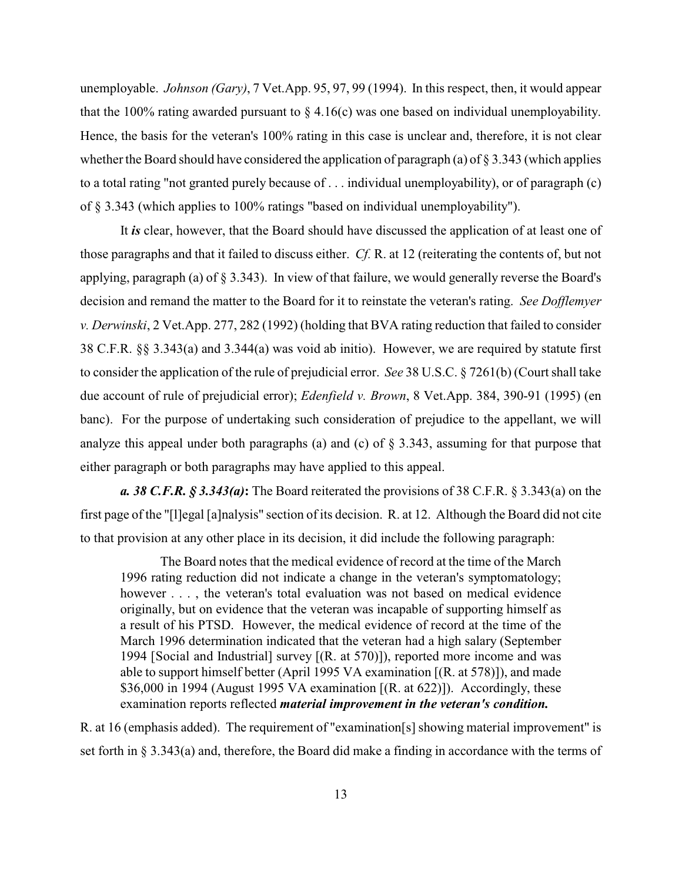unemployable. *Johnson (Gary)*, 7 Vet.App. 95, 97, 99 (1994). In this respect, then, it would appear that the 100% rating awarded pursuant to  $\S 4.16(c)$  was one based on individual unemployability. Hence, the basis for the veteran's 100% rating in this case is unclear and, therefore, it is not clear whether the Board should have considered the application of paragraph (a) of § 3.343 (which applies to a total rating "not granted purely because of . . . individual unemployability), or of paragraph (c) of § 3.343 (which applies to 100% ratings "based on individual unemployability").

It *is* clear, however, that the Board should have discussed the application of at least one of those paragraphs and that it failed to discuss either. *Cf.* R. at 12 (reiterating the contents of, but not applying, paragraph (a) of § 3.343). In view of that failure, we would generally reverse the Board's decision and remand the matter to the Board for it to reinstate the veteran's rating. *See Dofflemyer v. Derwinski*, 2 Vet.App. 277, 282 (1992) (holding that BVA rating reduction that failed to consider 38 C.F.R. §§ 3.343(a) and 3.344(a) was void ab initio). However, we are required by statute first to consider the application of the rule of prejudicial error. *See* 38 U.S.C. § 7261(b) (Court shall take due account of rule of prejudicial error); *Edenfield v. Brown*, 8 Vet.App. 384, 390-91 (1995) (en banc). For the purpose of undertaking such consideration of prejudice to the appellant, we will analyze this appeal under both paragraphs (a) and (c) of  $\S$  3.343, assuming for that purpose that either paragraph or both paragraphs may have applied to this appeal.

*a. 38 C.F.R. § 3.343(a)***:** The Board reiterated the provisions of 38 C.F.R. § 3.343(a) on the first page of the "[l]egal [a]nalysis" section of its decision. R. at 12. Although the Board did not cite to that provision at any other place in its decision, it did include the following paragraph:

The Board notes that the medical evidence of record at the time of the March 1996 rating reduction did not indicate a change in the veteran's symptomatology; however  $\dots$ , the veteran's total evaluation was not based on medical evidence originally, but on evidence that the veteran was incapable of supporting himself as a result of his PTSD. However, the medical evidence of record at the time of the March 1996 determination indicated that the veteran had a high salary (September 1994 [Social and Industrial] survey [(R. at 570)]), reported more income and was able to support himself better (April 1995 VA examination [(R. at 578)]), and made \$36,000 in 1994 (August 1995 VA examination  $[(R. at 622)]$ ). Accordingly, these examination reports reflected *material improvement in the veteran's condition.*

R. at 16 (emphasis added). The requirement of "examination[s] showing material improvement" is set forth in § 3.343(a) and, therefore, the Board did make a finding in accordance with the terms of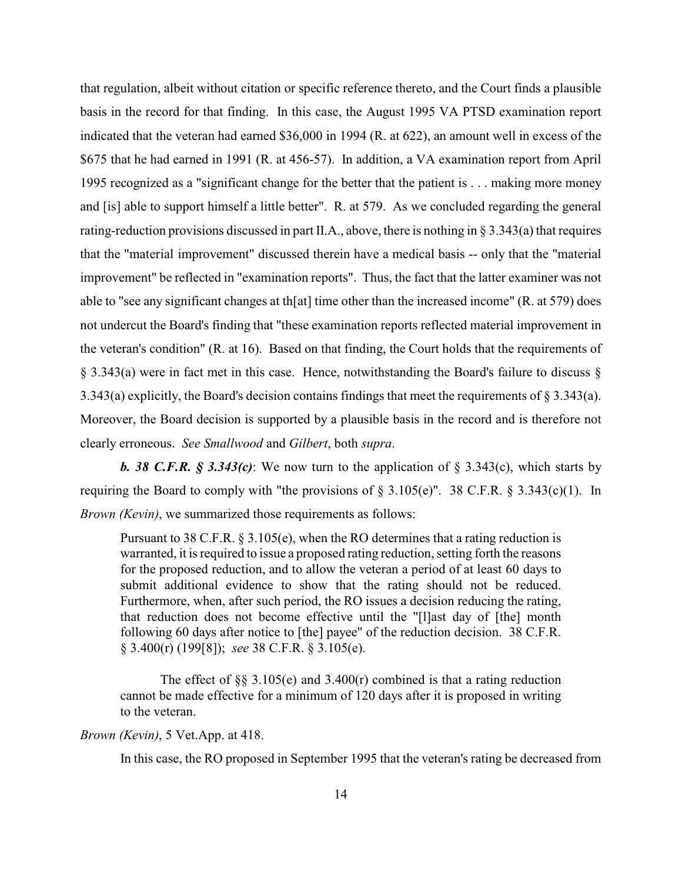that regulation, albeit without citation or specific reference thereto, and the Court finds a plausible basis in the record for that finding. In this case, the August 1995 VA PTSD examination report indicated that the veteran had earned \$36,000 in 1994 (R. at 622), an amount well in excess of the \$675 that he had earned in 1991 (R. at 456-57). In addition, a VA examination report from April 1995 recognized as a "significant change for the better that the patient is . . . making more money and [is] able to support himself a little better". R. at 579. As we concluded regarding the general rating-reduction provisions discussed in part II.A., above, there is nothing in § 3.343(a) that requires that the "material improvement" discussed therein have a medical basis -- only that the "material improvement" be reflected in "examination reports". Thus, the fact that the latter examiner was not able to "see any significant changes at th[at] time other than the increased income" (R. at 579) does not undercut the Board's finding that "these examination reports reflected material improvement in the veteran's condition" (R. at 16). Based on that finding, the Court holds that the requirements of § 3.343(a) were in fact met in this case. Hence, notwithstanding the Board's failure to discuss § 3.343(a) explicitly, the Board's decision contains findings that meet the requirements of § 3.343(a). Moreover, the Board decision is supported by a plausible basis in the record and is therefore not clearly erroneous. *See Smallwood* and *Gilbert*, both *supra*.

**b.** 38 **C.F.R.** § 3.343(c): We now turn to the application of § 3.343(c), which starts by requiring the Board to comply with "the provisions of  $\S 3.105(e)$ ". 38 C.F.R.  $\S 3.343(c)(1)$ . In *Brown (Kevin)*, we summarized those requirements as follows:

Pursuant to 38 C.F.R.  $\S 3.105(e)$ , when the RO determines that a rating reduction is warranted, it is required to issue a proposed rating reduction, setting forth the reasons for the proposed reduction, and to allow the veteran a period of at least 60 days to submit additional evidence to show that the rating should not be reduced. Furthermore, when, after such period, the RO issues a decision reducing the rating, that reduction does not become effective until the "[l]ast day of [the] month following 60 days after notice to [the] payee" of the reduction decision. 38 C.F.R. § 3.400(r) (199[8]); *see* 38 C.F.R. § 3.105(e).

The effect of  $\S$ § 3.105(e) and 3.400(r) combined is that a rating reduction cannot be made effective for a minimum of 120 days after it is proposed in writing to the veteran.

## *Brown (Kevin)*, 5 Vet.App. at 418.

In this case, the RO proposed in September 1995 that the veteran's rating be decreased from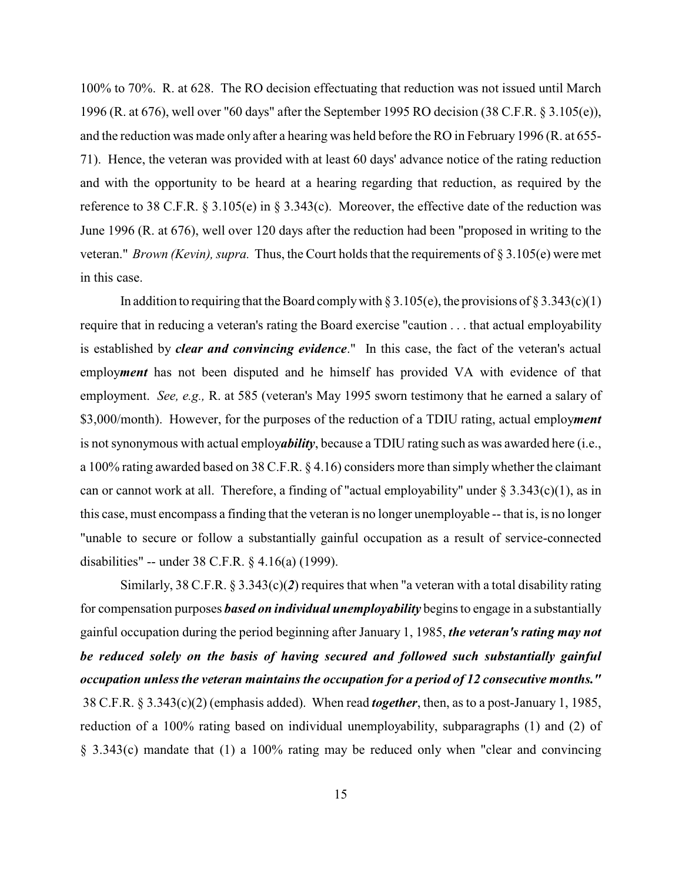100% to 70%. R. at 628. The RO decision effectuating that reduction was not issued until March 1996 (R. at 676), well over "60 days" after the September 1995 RO decision (38 C.F.R. § 3.105(e)), and the reduction was made only after a hearing was held before the RO in February 1996 (R. at 655- 71). Hence, the veteran was provided with at least 60 days' advance notice of the rating reduction and with the opportunity to be heard at a hearing regarding that reduction, as required by the reference to 38 C.F.R. § 3.105(e) in § 3.343(c). Moreover, the effective date of the reduction was June 1996 (R. at 676), well over 120 days after the reduction had been "proposed in writing to the veteran." *Brown (Kevin), supra.* Thus, the Court holds that the requirements of § 3.105(e) were met in this case.

In addition to requiring that the Board comply with  $\S 3.105(e)$ , the provisions of  $\S 3.343(c)(1)$ require that in reducing a veteran's rating the Board exercise "caution . . . that actual employability is established by *clear and convincing evidence*." In this case, the fact of the veteran's actual employ*ment* has not been disputed and he himself has provided VA with evidence of that employment. *See, e.g.,* R. at 585 (veteran's May 1995 sworn testimony that he earned a salary of \$3,000/month). However, for the purposes of the reduction of a TDIU rating, actual employ*ment* is not synonymous with actual employ*ability*, because a TDIU rating such as was awarded here (i.e., a 100% rating awarded based on 38 C.F.R. § 4.16) considers more than simply whether the claimant can or cannot work at all. Therefore, a finding of "actual employability" under  $\S 3.343(c)(1)$ , as in this case, must encompass a finding that the veteran is no longer unemployable -- that is, is no longer "unable to secure or follow a substantially gainful occupation as a result of service-connected disabilities" -- under 38 C.F.R. § 4.16(a) (1999).

Similarly, 38 C.F.R. § 3.343(c)(*2*) requires that when "a veteran with a total disability rating for compensation purposes *based on individual unemployability* beginsto engage in a substantially gainful occupation during the period beginning after January 1, 1985, *the veteran's rating may not be reduced solely on the basis of having secured and followed such substantially gainful occupation unless the veteran maintains the occupation for a period of 12 consecutive months."* 38 C.F.R. § 3.343(c)(2) (emphasis added). When read *together*, then, as to a post-January 1, 1985, reduction of a 100% rating based on individual unemployability, subparagraphs (1) and (2) of § 3.343(c) mandate that (1) a 100% rating may be reduced only when "clear and convincing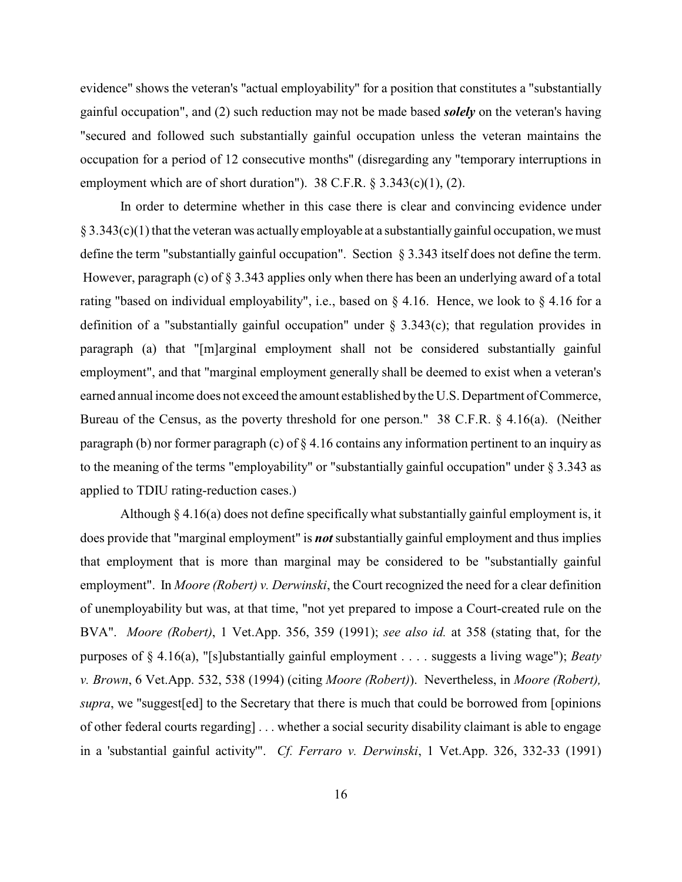evidence" shows the veteran's "actual employability" for a position that constitutes a "substantially gainful occupation", and (2) such reduction may not be made based *solely* on the veteran's having "secured and followed such substantially gainful occupation unless the veteran maintains the occupation for a period of 12 consecutive months" (disregarding any "temporary interruptions in employment which are of short duration").  $38$  C.F.R. §  $3.343(c)(1)$ , (2).

In order to determine whether in this case there is clear and convincing evidence under  $\S 3.343(c)(1)$  that the veteran was actually employable at a substantially gainful occupation, we must define the term "substantially gainful occupation". Section § 3.343 itself does not define the term. However, paragraph (c) of  $\S 3.343$  applies only when there has been an underlying award of a total rating "based on individual employability", i.e., based on  $\S$  4.16. Hence, we look to  $\S$  4.16 for a definition of a "substantially gainful occupation" under  $\S$  3.343(c); that regulation provides in paragraph (a) that "[m]arginal employment shall not be considered substantially gainful employment", and that "marginal employment generally shall be deemed to exist when a veteran's earned annual income does not exceed the amount established by the U.S. Department of Commerce, Bureau of the Census, as the poverty threshold for one person." 38 C.F.R. § 4.16(a). (Neither paragraph (b) nor former paragraph (c) of  $\S 4.16$  contains any information pertinent to an inquiry as to the meaning of the terms "employability" or "substantially gainful occupation" under § 3.343 as applied to TDIU rating-reduction cases.)

Although § 4.16(a) does not define specifically what substantially gainful employment is, it does provide that "marginal employment" is *not* substantially gainful employment and thus implies that employment that is more than marginal may be considered to be "substantially gainful employment". In *Moore (Robert) v. Derwinski*, the Court recognized the need for a clear definition of unemployability but was, at that time, "not yet prepared to impose a Court-created rule on the BVA". *Moore (Robert)*, 1 Vet.App. 356, 359 (1991); *see also id.* at 358 (stating that, for the purposes of § 4.16(a), "[s]ubstantially gainful employment . . . . suggests a living wage"); *Beaty v. Brown*, 6 Vet.App. 532, 538 (1994) (citing *Moore (Robert)*). Nevertheless, in *Moore (Robert), supra*, we "suggest[ed] to the Secretary that there is much that could be borrowed from [opinions of other federal courts regarding] . . . whether a social security disability claimant is able to engage in a 'substantial gainful activity'". *Cf. Ferraro v. Derwinski*, 1 Vet.App. 326, 332-33 (1991)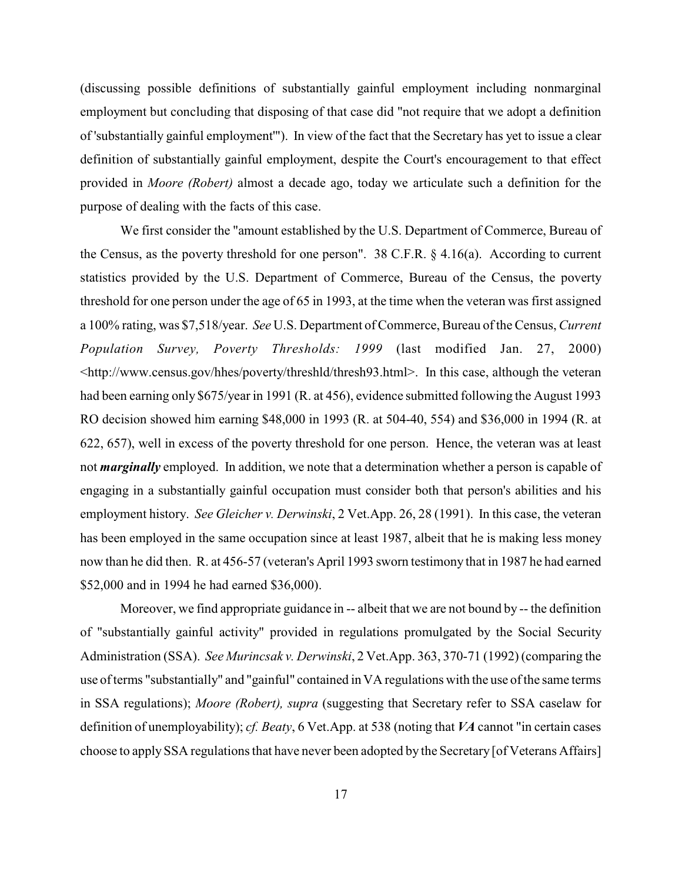(discussing possible definitions of substantially gainful employment including nonmarginal employment but concluding that disposing of that case did "not require that we adopt a definition of 'substantially gainful employment'"). In view of the fact that the Secretary has yet to issue a clear definition of substantially gainful employment, despite the Court's encouragement to that effect provided in *Moore (Robert)* almost a decade ago, today we articulate such a definition for the purpose of dealing with the facts of this case.

We first consider the "amount established by the U.S. Department of Commerce, Bureau of the Census, as the poverty threshold for one person". 38 C.F.R. § 4.16(a). According to current statistics provided by the U.S. Department of Commerce, Bureau of the Census, the poverty threshold for one person under the age of 65 in 1993, at the time when the veteran was first assigned a 100% rating, was \$7,518/year. *See* U.S. Department of Commerce, Bureau of the Census, *Current Population Survey, Poverty Thresholds: 1999* (last modified Jan. 27, 2000) <http://www.census.gov/hhes/poverty/threshld/thresh93.html>. In this case, although the veteran had been earning only \$675/year in 1991 (R. at 456), evidence submitted following the August 1993 RO decision showed him earning \$48,000 in 1993 (R. at 504-40, 554) and \$36,000 in 1994 (R. at 622, 657), well in excess of the poverty threshold for one person. Hence, the veteran was at least not *marginally* employed. In addition, we note that a determination whether a person is capable of engaging in a substantially gainful occupation must consider both that person's abilities and his employment history. *See Gleicher v. Derwinski*, 2 Vet.App. 26, 28 (1991). In this case, the veteran has been employed in the same occupation since at least 1987, albeit that he is making less money now than he did then. R. at 456-57 (veteran's April 1993 sworn testimony that in 1987 he had earned \$52,000 and in 1994 he had earned \$36,000).

Moreover, we find appropriate guidance in -- albeit that we are not bound by -- the definition of "substantially gainful activity" provided in regulations promulgated by the Social Security Administration (SSA). *See Murincsak v. Derwinski*, 2 Vet.App. 363, 370-71 (1992) (comparing the use of terms "substantially" and "gainful" contained inVA regulations with the use of the same terms in SSA regulations); *Moore (Robert), supra* (suggesting that Secretary refer to SSA caselaw for definition of unemployability); *cf. Beaty*, 6 Vet.App. at 538 (noting that *VA* cannot "in certain cases choose to apply SSA regulations that have never been adopted by the Secretary [of Veterans Affairs]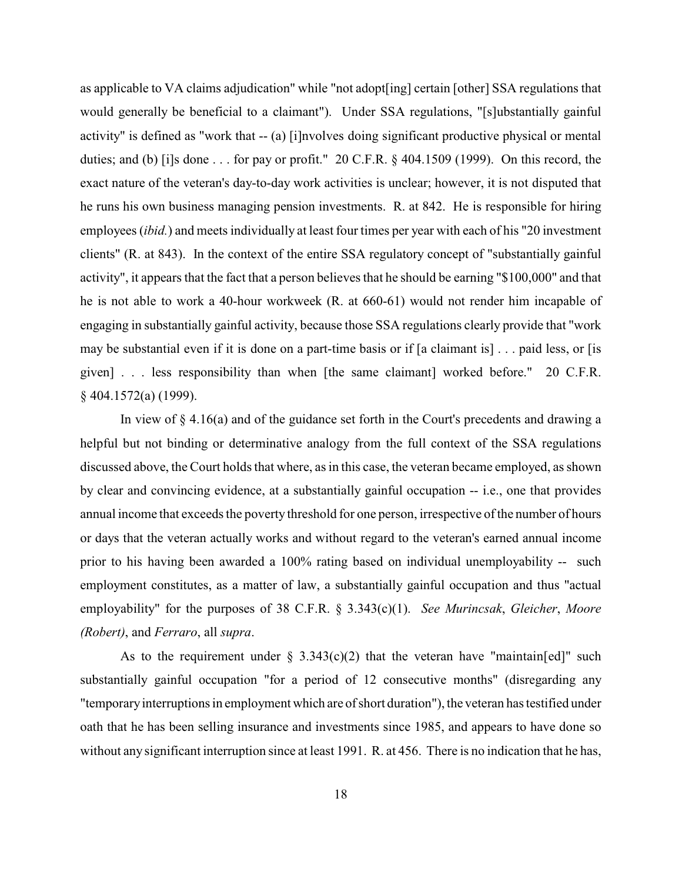as applicable to VA claims adjudication" while "not adopt[ing] certain [other] SSA regulations that would generally be beneficial to a claimant"). Under SSA regulations, "[s]ubstantially gainful activity" is defined as "work that -- (a) [i]nvolves doing significant productive physical or mental duties; and (b) [i]s done . . . for pay or profit." 20 C.F.R. § 404.1509 (1999). On this record, the exact nature of the veteran's day-to-day work activities is unclear; however, it is not disputed that he runs his own business managing pension investments. R. at 842. He is responsible for hiring employees (*ibid.*) and meets individually at least four times per year with each of his "20 investment clients" (R. at 843). In the context of the entire SSA regulatory concept of "substantially gainful activity", it appears that the fact that a person believes that he should be earning "\$100,000" and that he is not able to work a 40-hour workweek (R. at 660-61) would not render him incapable of engaging in substantially gainful activity, because those SSA regulations clearly provide that "work may be substantial even if it is done on a part-time basis or if [a claimant is] . . . paid less, or [is given] . . . less responsibility than when [the same claimant] worked before." 20 C.F.R. § 404.1572(a) (1999).

In view of  $\S 4.16(a)$  and of the guidance set forth in the Court's precedents and drawing a helpful but not binding or determinative analogy from the full context of the SSA regulations discussed above, the Court holds that where, as in this case, the veteran became employed, as shown by clear and convincing evidence, at a substantially gainful occupation -- i.e., one that provides annual income that exceeds the poverty threshold for one person, irrespective of the number of hours or days that the veteran actually works and without regard to the veteran's earned annual income prior to his having been awarded a 100% rating based on individual unemployability -- such employment constitutes, as a matter of law, a substantially gainful occupation and thus "actual employability" for the purposes of 38 C.F.R. § 3.343(c)(1). *See Murincsak*, *Gleicher*, *Moore (Robert)*, and *Ferraro*, all *supra*.

As to the requirement under  $\S$  3.343(c)(2) that the veteran have "maintain[ed]" such substantially gainful occupation "for a period of 12 consecutive months" (disregarding any "temporary interruptions in employment which are of short duration"), the veteran has testified under oath that he has been selling insurance and investments since 1985, and appears to have done so without any significant interruption since at least 1991. R. at 456. There is no indication that he has,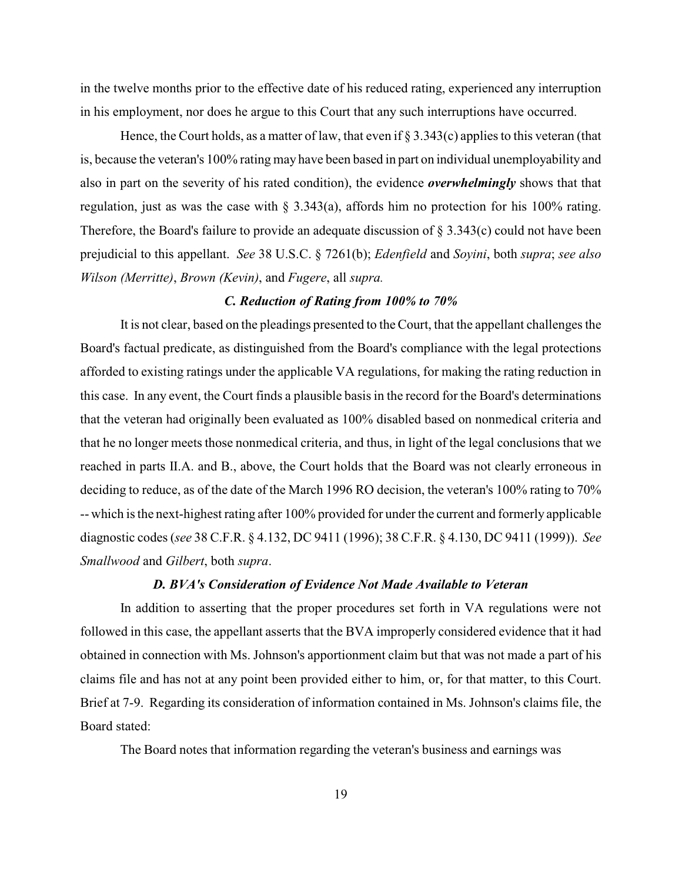in the twelve months prior to the effective date of his reduced rating, experienced any interruption in his employment, nor does he argue to this Court that any such interruptions have occurred.

Hence, the Court holds, as a matter of law, that even if  $\S 3.343(c)$  applies to this veteran (that is, because the veteran's 100% rating may have been based in part on individual unemployability and also in part on the severity of his rated condition), the evidence *overwhelmingly* shows that that regulation, just as was the case with § 3.343(a), affords him no protection for his 100% rating. Therefore, the Board's failure to provide an adequate discussion of  $\S 3.343(c)$  could not have been prejudicial to this appellant. *See* 38 U.S.C. § 7261(b); *Edenfield* and *Soyini*, both *supra*; *see also Wilson (Merritte)*, *Brown (Kevin)*, and *Fugere*, all *supra.*

## *C. Reduction of Rating from 100% to 70%*

It is not clear, based on the pleadings presented to theCourt, that the appellant challenges the Board's factual predicate, as distinguished from the Board's compliance with the legal protections afforded to existing ratings under the applicable VA regulations, for making the rating reduction in this case. In any event, the Court finds a plausible basis in the record for the Board's determinations that the veteran had originally been evaluated as 100% disabled based on nonmedical criteria and that he no longer meets those nonmedical criteria, and thus, in light of the legal conclusions that we reached in parts II.A. and B., above, the Court holds that the Board was not clearly erroneous in deciding to reduce, as of the date of the March 1996 RO decision, the veteran's 100% rating to 70% -- which is the next-highest rating after 100% provided for under the current and formerly applicable diagnostic codes (*see* 38 C.F.R. § 4.132, DC 9411 (1996); 38 C.F.R. § 4.130, DC 9411 (1999)). *See Smallwood* and *Gilbert*, both *supra*.

### *D. BVA's Consideration of Evidence Not Made Available to Veteran*

In addition to asserting that the proper procedures set forth in VA regulations were not followed in this case, the appellant asserts that the BVA improperly considered evidence that it had obtained in connection with Ms. Johnson's apportionment claim but that was not made a part of his claims file and has not at any point been provided either to him, or, for that matter, to this Court. Brief at 7-9. Regarding its consideration of information contained in Ms. Johnson's claims file, the Board stated:

The Board notes that information regarding the veteran's business and earnings was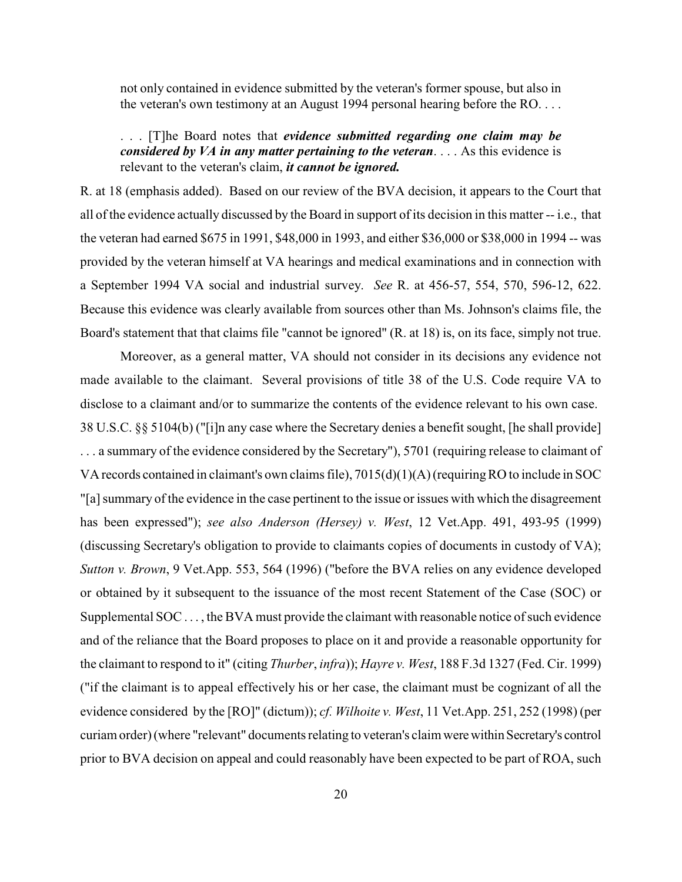not only contained in evidence submitted by the veteran's former spouse, but also in the veteran's own testimony at an August 1994 personal hearing before the RO. . . .

. . . [T]he Board notes that *evidence submitted regarding one claim may be considered by VA in any matter pertaining to the veteran*. . . . As this evidence is relevant to the veteran's claim, *it cannot be ignored.*

R. at 18 (emphasis added). Based on our review of the BVA decision, it appears to the Court that all of the evidence actually discussed by the Board in support of its decision in this matter -- i.e., that the veteran had earned \$675 in 1991, \$48,000 in 1993, and either \$36,000 or \$38,000 in 1994 -- was provided by the veteran himself at VA hearings and medical examinations and in connection with a September 1994 VA social and industrial survey. *See* R. at 456-57, 554, 570, 596-12, 622. Because this evidence was clearly available from sources other than Ms. Johnson's claims file, the Board's statement that that claims file "cannot be ignored" (R. at 18) is, on its face, simply not true.

Moreover, as a general matter, VA should not consider in its decisions any evidence not made available to the claimant. Several provisions of title 38 of the U.S. Code require VA to disclose to a claimant and/or to summarize the contents of the evidence relevant to his own case. 38 U.S.C. §§ 5104(b) ("[i]n any case where the Secretary denies a benefit sought, [he shall provide] . . . a summary of the evidence considered by the Secretary"), 5701 (requiring release to claimant of VA records contained in claimant's own claims file), 7015(d)(1)(A) (requiringRO to include in SOC "[a] summary of the evidence in the case pertinent to the issue or issues with which the disagreement has been expressed"); *see also Anderson (Hersey) v. West*, 12 Vet.App. 491, 493-95 (1999) (discussing Secretary's obligation to provide to claimants copies of documents in custody of VA); *Sutton v. Brown*, 9 Vet.App. 553, 564 (1996) ("before the BVA relies on any evidence developed or obtained by it subsequent to the issuance of the most recent Statement of the Case (SOC) or Supplemental SOC . . . , the BVA must provide the claimant with reasonable notice of such evidence and of the reliance that the Board proposes to place on it and provide a reasonable opportunity for the claimant to respond to it" (citing *Thurber*, *infra*)); *Hayre v. West*, 188 F.3d 1327 (Fed. Cir. 1999) ("if the claimant is to appeal effectively his or her case, the claimant must be cognizant of all the evidence considered by the [RO]" (dictum)); *cf. Wilhoite v. West*, 11 Vet.App. 251, 252 (1998) (per curiam order) (where "relevant" documents relating to veteran's claim were within Secretary's control prior to BVA decision on appeal and could reasonably have been expected to be part of ROA, such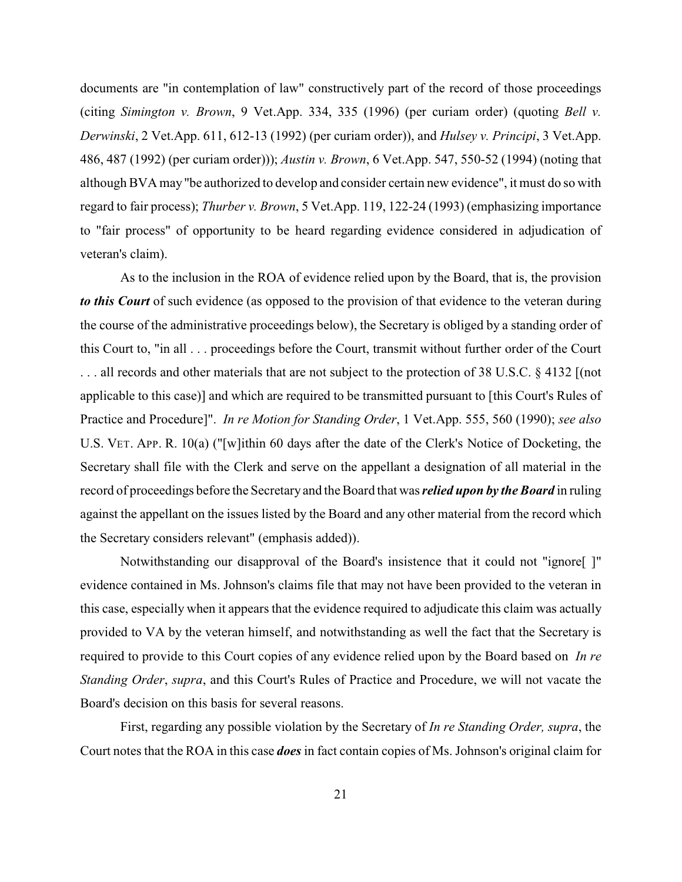documents are "in contemplation of law" constructively part of the record of those proceedings (citing *Simington v. Brown*, 9 Vet.App. 334, 335 (1996) (per curiam order) (quoting *Bell v. Derwinski*, 2 Vet.App. 611, 612-13 (1992) (per curiam order)), and *Hulsey v. Principi*, 3 Vet.App. 486, 487 (1992) (per curiam order))); *Austin v. Brown*, 6 Vet.App. 547, 550-52 (1994) (noting that although BVA may"be authorized to develop and consider certain new evidence", it must do so with regard to fair process); *Thurber v. Brown*, 5 Vet.App. 119, 122-24 (1993) (emphasizing importance to "fair process" of opportunity to be heard regarding evidence considered in adjudication of veteran's claim).

As to the inclusion in the ROA of evidence relied upon by the Board, that is, the provision *to this Court* of such evidence (as opposed to the provision of that evidence to the veteran during the course of the administrative proceedings below), the Secretary is obliged by a standing order of this Court to, "in all . . . proceedings before the Court, transmit without further order of the Court . . . all records and other materials that are not subject to the protection of 38 U.S.C. § 4132 [(not applicable to this case)] and which are required to be transmitted pursuant to [this Court's Rules of Practice and Procedure]". *In re Motion for Standing Order*, 1 Vet.App. 555, 560 (1990); *see also* U.S. VET. APP. R. 10(a) ("[w]ithin 60 days after the date of the Clerk's Notice of Docketing, the Secretary shall file with the Clerk and serve on the appellant a designation of all material in the record of proceedings before the Secretary and the Board that was *relied upon by the Board* in ruling against the appellant on the issues listed by the Board and any other material from the record which the Secretary considers relevant" (emphasis added)).

Notwithstanding our disapproval of the Board's insistence that it could not "ignore[ ]" evidence contained in Ms. Johnson's claims file that may not have been provided to the veteran in this case, especially when it appears that the evidence required to adjudicate this claim was actually provided to VA by the veteran himself, and notwithstanding as well the fact that the Secretary is required to provide to this Court copies of any evidence relied upon by the Board based on *In re Standing Order*, *supra*, and this Court's Rules of Practice and Procedure, we will not vacate the Board's decision on this basis for several reasons.

First, regarding any possible violation by the Secretary of *In re Standing Order, supra*, the Court notes that the ROA in this case *does* in fact contain copies of Ms. Johnson's original claim for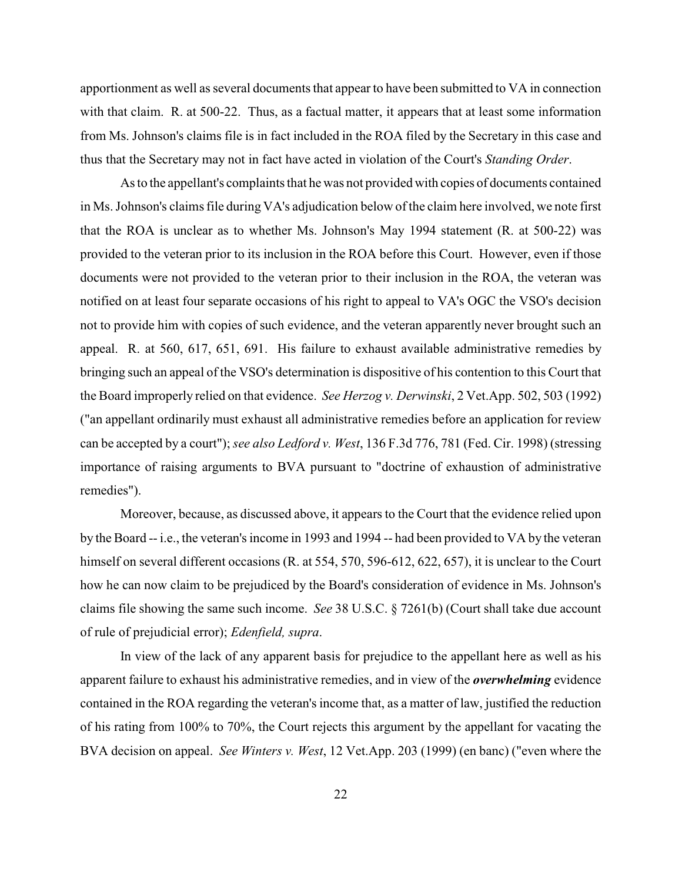apportionment as well as several documents that appear to have been submitted to VA in connection with that claim. R. at 500-22. Thus, as a factual matter, it appears that at least some information from Ms. Johnson's claims file is in fact included in the ROA filed by the Secretary in this case and thus that the Secretary may not in fact have acted in violation of the Court's *Standing Order*.

As to the appellant's complaints that he was not provided with copies of documents contained in Ms. Johnson's claims file during VA's adjudication below of the claim here involved, we note first that the ROA is unclear as to whether Ms. Johnson's May 1994 statement (R. at 500-22) was provided to the veteran prior to its inclusion in the ROA before this Court. However, even if those documents were not provided to the veteran prior to their inclusion in the ROA, the veteran was notified on at least four separate occasions of his right to appeal to VA's OGC the VSO's decision not to provide him with copies of such evidence, and the veteran apparently never brought such an appeal. R. at 560, 617, 651, 691. His failure to exhaust available administrative remedies by bringing such an appeal of the VSO's determination is dispositive of his contention to this Court that the Board improperly relied on that evidence. *See Herzog v. Derwinski*, 2 Vet.App. 502, 503 (1992) ("an appellant ordinarily must exhaust all administrative remedies before an application for review can be accepted by a court");*see also Ledford v. West*, 136 F.3d 776, 781 (Fed. Cir. 1998) (stressing importance of raising arguments to BVA pursuant to "doctrine of exhaustion of administrative remedies").

Moreover, because, as discussed above, it appears to the Court that the evidence relied upon by the Board -- i.e., the veteran's income in 1993 and 1994 -- had been provided to VA by the veteran himself on several different occasions (R. at 554, 570, 596-612, 622, 657), it is unclear to the Court how he can now claim to be prejudiced by the Board's consideration of evidence in Ms. Johnson's claims file showing the same such income. *See* 38 U.S.C. § 7261(b) (Court shall take due account of rule of prejudicial error); *Edenfield, supra*.

 In view of the lack of any apparent basis for prejudice to the appellant here as well as his apparent failure to exhaust his administrative remedies, and in view of the *overwhelming* evidence contained in the ROA regarding the veteran's income that, as a matter of law, justified the reduction of his rating from 100% to 70%, the Court rejects this argument by the appellant for vacating the BVA decision on appeal. *See Winters v. West*, 12 Vet.App. 203 (1999) (en banc) ("even where the